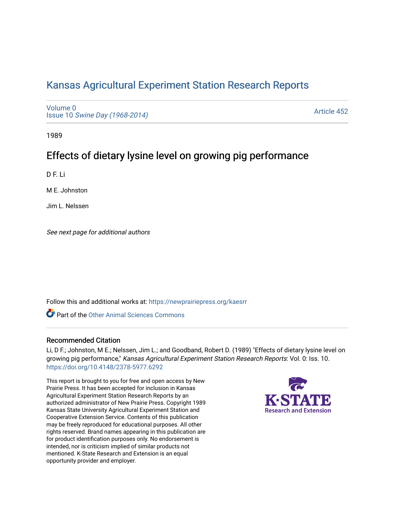# [Kansas Agricultural Experiment Station Research Reports](https://newprairiepress.org/kaesrr)

[Volume 0](https://newprairiepress.org/kaesrr/vol0) Issue 10 [Swine Day \(1968-2014\)](https://newprairiepress.org/kaesrr/vol0/iss10)

[Article 452](https://newprairiepress.org/kaesrr/vol0/iss10/452) 

1989

# Effects of dietary lysine level on growing pig performance

D F. Li

M E. Johnston

Jim L. Nelssen

See next page for additional authors

Follow this and additional works at: [https://newprairiepress.org/kaesrr](https://newprairiepress.org/kaesrr?utm_source=newprairiepress.org%2Fkaesrr%2Fvol0%2Fiss10%2F452&utm_medium=PDF&utm_campaign=PDFCoverPages) 

**C** Part of the [Other Animal Sciences Commons](http://network.bepress.com/hgg/discipline/82?utm_source=newprairiepress.org%2Fkaesrr%2Fvol0%2Fiss10%2F452&utm_medium=PDF&utm_campaign=PDFCoverPages)

## Recommended Citation

Li, D F.; Johnston, M E.; Nelssen, Jim L.; and Goodband, Robert D. (1989) "Effects of dietary lysine level on growing pig performance," Kansas Agricultural Experiment Station Research Reports: Vol. 0: Iss. 10. <https://doi.org/10.4148/2378-5977.6292>

This report is brought to you for free and open access by New Prairie Press. It has been accepted for inclusion in Kansas Agricultural Experiment Station Research Reports by an authorized administrator of New Prairie Press. Copyright 1989 Kansas State University Agricultural Experiment Station and Cooperative Extension Service. Contents of this publication may be freely reproduced for educational purposes. All other rights reserved. Brand names appearing in this publication are for product identification purposes only. No endorsement is intended, nor is criticism implied of similar products not mentioned. K-State Research and Extension is an equal opportunity provider and employer.

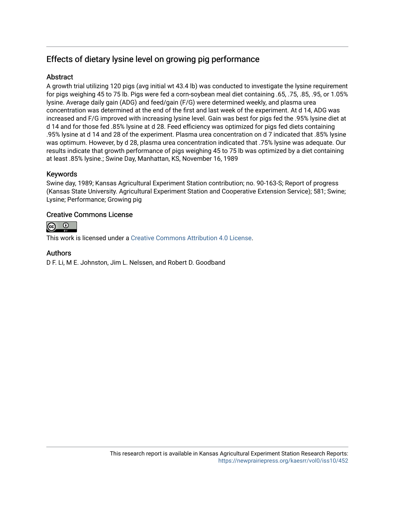## Effects of dietary lysine level on growing pig performance

## Abstract

A growth trial utilizing 120 pigs (avg initial wt 43.4 lb) was conducted to investigate the lysine requirement for pigs weighing 45 to 75 lb. Pigs were fed a corn-soybean meal diet containing .65, .75, .85, .95, or 1.05% lysine. Average daily gain (ADG) and feed/gain (F/G) were determined weekly, and plasma urea concentration was determined at the end of the first and last week of the experiment. At d 14, ADG was increased and F/G improved with increasing lysine level. Gain was best for pigs fed the .95% lysine diet at d 14 and for those fed .85% lysine at d 28. Feed efficiency was optimized for pigs fed diets containing .95% lysine at d 14 and 28 of the experiment. Plasma urea concentration on d 7 indicated that .85% lysine was optimum. However, by d 28, plasma urea concentration indicated that .75% lysine was adequate. Our results indicate that growth performance of pigs weighing 45 to 75 lb was optimized by a diet containing at least .85% lysine.; Swine Day, Manhattan, KS, November 16, 1989

## Keywords

Swine day, 1989; Kansas Agricultural Experiment Station contribution; no. 90-163-S; Report of progress (Kansas State University. Agricultural Experiment Station and Cooperative Extension Service); 581; Swine; Lysine; Performance; Growing pig

## Creative Commons License



This work is licensed under a [Creative Commons Attribution 4.0 License](https://creativecommons.org/licenses/by/4.0/).

### Authors

D F. Li, M E. Johnston, Jim L. Nelssen, and Robert D. Goodband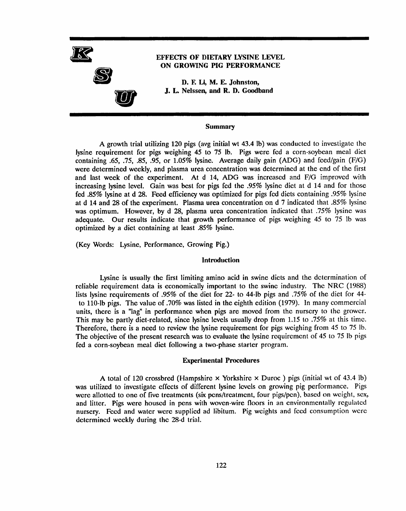

#### **Summary**

A growth trial utilizing 120 pigs (avg initial wt 43.4 lb) was conducted to investigate the lysine requirement for pigs weighing 45 to 75 lb. Pigs were fed a corn-soybean meal diet containing .65, .75, .85, .95, or 1.05% lysine. Average daily gain (ADG) and feed/gain (F/G) were determined weekly, and plasma urea concentration was determined at the end of the first and last week of the experiment. At d 14, ADG was increased and F/G improved with increasing lysine level. Gain was best for pigs fed the .95% lysine diet at d 14 and for those fed .85% lysine at d 28. Feed efficiency was optimized for pigs fed diets containing .95% lysine at d 14 and 28 of the experiment. Plasma urea concentration on d 7 indicated that .85% lysine was optimum. However, by d 28, plasma urea concentration indicated that .75% lysine was adequate. Our results indicate that growth performance of pigs weighing 45 to 75 lb was optimized by a diet containing at least .85% lysine.

(Key Words: Lysine, Performance, Growing Pig.)

#### **Introduction**

Lysine is usually the first limiting amino acid in swine diets and the determination of reliable requirement data is economically important to the swine industry. The NRC (1988) lists lysine requirements of .95% of the diet for 22- to 44-lb pigs and .75% of the diet for 44to 110-lb pigs. The value of .70% was listed in the eighth edition (1979). In many commercial units, there is a "lag" in performance when pigs are moved from the nursery to the grower. This may be partly diet-related, since lysine levels usually drop from 1.15 to .75% at this time. Therefore, there is a need to review the lysine requirement for pigs weighing from 45 to 75 lb. The objective of the present research was to evaluate the lysine requirement of 45 to 75 lb pigs fed a corn-soybean meal diet following a two-phase starter program.

#### **Experimental Procedures**

A total of 120 crossbred (Hampshire  $\times$  Yorkshire  $\times$  Duroc) pigs (initial wt of 43.4 lb) was utilized to investigate effects of different lysine levels on growing pig performance. Pigs were allotted to one of five treatments (six pens/treatment, four pigs/pen), based on weight, sex, and litter. Pigs were housed in pens with woven-wire floors in an environmentally regulated nursery. Feed and water were supplied ad libitum. Pig weights and feed consumption were determined weekly during the 28-d trial.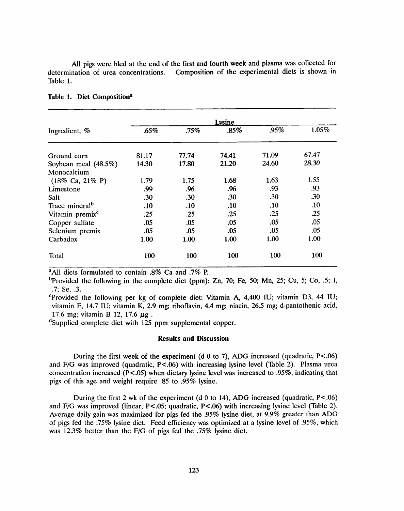All pigs were bled at the end of the first and fourth week and plasma was collected for Composition of the experimental diets is shown in determination of urea concentrations. Table 1.

| Ingredient, %                       | Lysine |       |       |       |       |  |  |  |
|-------------------------------------|--------|-------|-------|-------|-------|--|--|--|
|                                     | .65%   | .75%  | .85%  | .95%  | 1.05% |  |  |  |
| Ground corn                         | 81.17  | 77.74 | 74.41 | 71.09 | 67.47 |  |  |  |
| Soybean meal (48.5%)                | 14.30  | 17.80 | 21.20 | 24.60 | 28.30 |  |  |  |
| Monocalcium                         |        |       |       |       |       |  |  |  |
| $(18\% \text{ Ca}, 21\% \text{ P})$ | 1.79   | 1.75  | 1.68  | 1.63  | 1.55  |  |  |  |
| Limestone                           | .99    | .96   | .96   | .93   | .93   |  |  |  |
| Salt                                | .30    | .30   | .30   | .30   | .30   |  |  |  |
| Trace mineral <sup>b</sup>          | .10    | .10   | .10   | .10   | .10   |  |  |  |
| Vitamin premix <sup>c</sup>         | .25    | .25   | .25   | .25   | .25   |  |  |  |
| Copper sulfate                      | .05    | .05   | .05   | .05   | .05   |  |  |  |
| Selenium premix                     | .05    | .05   | .05   | .05   | .05   |  |  |  |
| Carbadox                            | 1.00   | 1.00  | 1.00  | 1.00  | 1.00  |  |  |  |
| Total                               | 100    | 100   | 100   | 100   | 100   |  |  |  |

#### Table 1. Diet Composition<sup>a</sup>

<sup>a</sup>All diets formulated to contain .8% Ca and .7% P.

<sup>b</sup>Provided the following in the complete diet (ppm): Zn, 70; Fe, 50; Mn, 25; Cu, 5; Co, .5; I,  $.7;$  Se,  $.3.$ 

"Provided the following per kg of complete diet: Vitamin A,  $4,400$  IU; vitamin D3, 44 IU; vitamin E, 14.7 IU; vitamin K, 2.9 mg; riboflavin, 4.4 mg; niacin, 26.5 mg; d-pantothenic acid, 17.6 mg; vitamin B 12, 17.6 µg.

<sup>d</sup>Supplied complete diet with 125 ppm supplemental copper.

#### **Results and Discussion**

During the first week of the experiment (d 0 to 7), ADG increased (quadratic,  $P < .06$ ) and F/G was improved (quadratic, P<.06) with increasing lysine level (Table 2). Plasma urea concentration increased ( $P < .05$ ) when dietary lysine level was increased to .95%, indicating that pigs of this age and weight require .85 to .95% lysine.

During the first 2 wk of the experiment ( $d \theta$  to 14), ADG increased (quadratic, P<.06) and F/G was improved (linear, P<.05; quadratic, P<.06) with increasing lysine level (Table 2). Average daily gain was maximized for pigs fed the .95% lysine diet, at 9.9% greater than ADG of pigs fed the .75% lysine diet. Feed efficiency was optimized at a lysine level of .95%, which was 12.3% better than the F/G of pigs fed the .75% lysine diet.